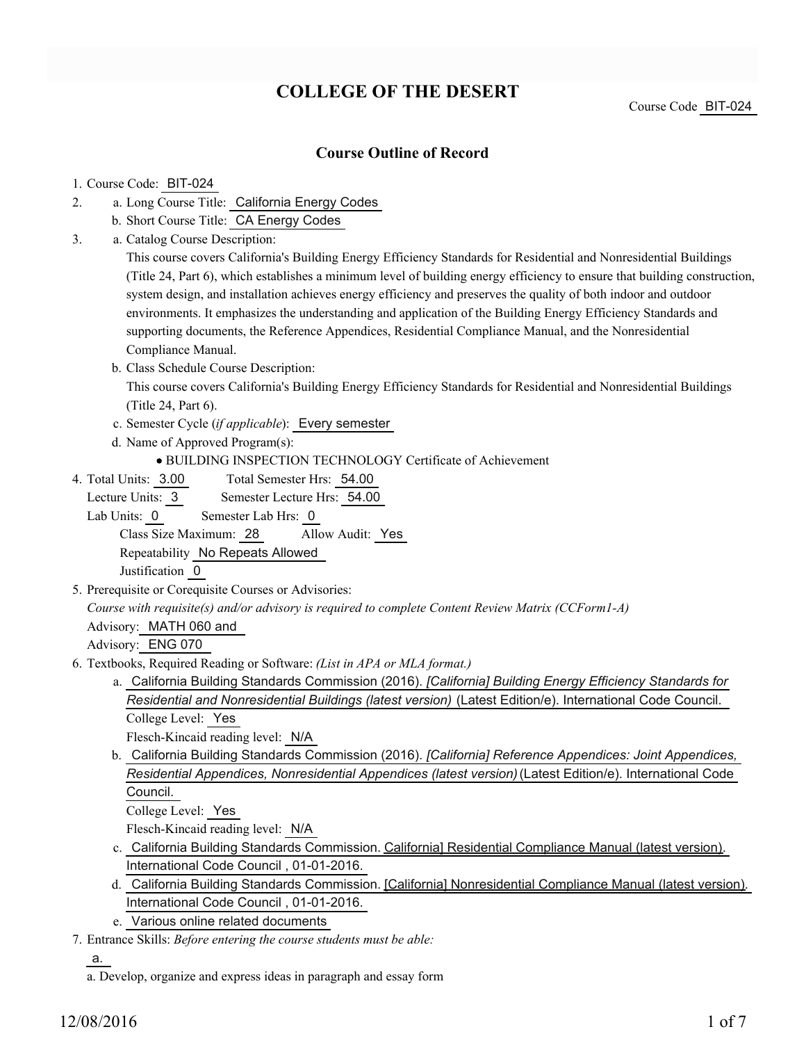# **COLLEGE OF THE DESERT**

Course Code BIT-024

#### **Course Outline of Record**

#### 1. Course Code: BIT-024

- a. Long Course Title: California Energy Codes 2.
	- b. Short Course Title: CA Energy Codes
- Catalog Course Description: a. 3.

This course covers California's Building Energy Efficiency Standards for Residential and Nonresidential Buildings (Title 24, Part 6), which establishes a minimum level of building energy efficiency to ensure that building construction, system design, and installation achieves energy efficiency and preserves the quality of both indoor and outdoor environments. It emphasizes the understanding and application of the Building Energy Efficiency Standards and supporting documents, the Reference Appendices, Residential Compliance Manual, and the Nonresidential Compliance Manual.

b. Class Schedule Course Description:

This course covers California's Building Energy Efficiency Standards for Residential and Nonresidential Buildings (Title 24, Part 6).

- c. Semester Cycle (*if applicable*): Every semester
- d. Name of Approved Program(s):

BUILDING INSPECTION TECHNOLOGY Certificate of Achievement

Total Semester Hrs: 54.00 4. Total Units: 3.00

Lecture Units: 3 Semester Lecture Hrs: 54.00

Lab Units: 0 Semester Lab Hrs: 0

Class Size Maximum: 28 Allow Audit: Yes

Repeatability No Repeats Allowed

Justification 0

5. Prerequisite or Corequisite Courses or Advisories:

*Course with requisite(s) and/or advisory is required to complete Content Review Matrix (CCForm1-A)*

Advisory: MATH 060 and

Advisory: ENG 070

- Textbooks, Required Reading or Software: *(List in APA or MLA format.)* 6.
	- a. California Building Standards Commission (2016). *[California] Building Energy Efficiency Standards for Residential and Nonresidential Buildings (latest version)* (Latest Edition/e). International Code Council. College Level: Yes

Flesch-Kincaid reading level: N/A

b. California Building Standards Commission (2016). *[California] Reference Appendices: Joint Appendices*, *Residential Appendices, Nonresidential Appendices (latest version)* (Latest Edition/e). International Code Council.

College Level: Yes

Flesch-Kincaid reading level: N/A

- c. California Building Standards Commission. <u>California] Residential Compliance Manual (latest version)</u>. International Code Council , 01-01-2016.
- d. California Building Standards Commission. [California] Nonresidential Compliance Manual (latest version). International Code Council , 01-01-2016.
- e. Various online related documents
- Entrance Skills: *Before entering the course students must be able:* 7.

a.

a. Develop, organize and express ideas in paragraph and essay form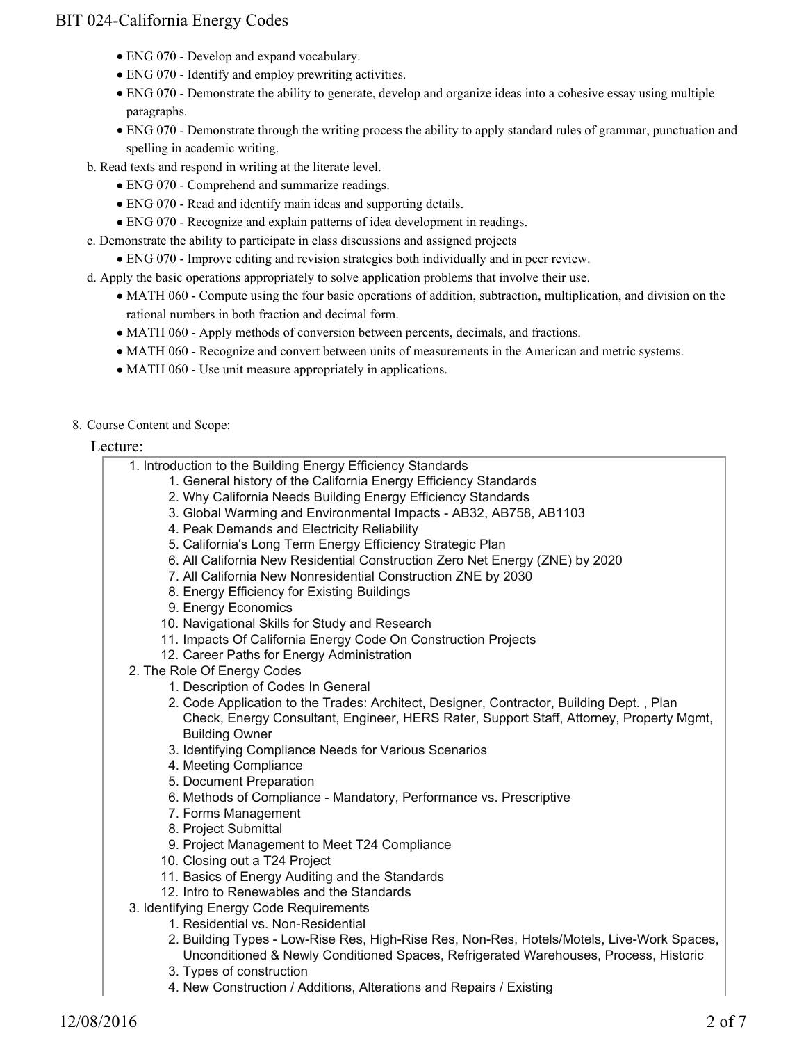- ENG 070 Develop and expand vocabulary.
- ENG 070 Identify and employ prewriting activities.
- ENG 070 Demonstrate the ability to generate, develop and organize ideas into a cohesive essay using multiple paragraphs.
- ENG 070 Demonstrate through the writing process the ability to apply standard rules of grammar, punctuation and spelling in academic writing.
- b. Read texts and respond in writing at the literate level.
	- ENG 070 Comprehend and summarize readings.
	- ENG 070 Read and identify main ideas and supporting details.
	- ENG 070 Recognize and explain patterns of idea development in readings.
- c. Demonstrate the ability to participate in class discussions and assigned projects
	- ENG 070 Improve editing and revision strategies both individually and in peer review.
- d. Apply the basic operations appropriately to solve application problems that involve their use.
	- MATH 060 Compute using the four basic operations of addition, subtraction, multiplication, and division on the rational numbers in both fraction and decimal form.
	- MATH 060 Apply methods of conversion between percents, decimals, and fractions.
	- MATH 060 Recognize and convert between units of measurements in the American and metric systems.
	- MATH 060 Use unit measure appropriately in applications.
- 8. Course Content and Scope:

### Lecture:

- 1. Introduction to the Building Energy Efficiency Standards
	- 1. General history of the California Energy Efficiency Standards
	- 2. Why California Needs Building Energy Efficiency Standards
	- 3. Global Warming and Environmental Impacts AB32, AB758, AB1103
	- 4. Peak Demands and Electricity Reliability
	- 5. California's Long Term Energy Efficiency Strategic Plan
	- 6. All California New Residential Construction Zero Net Energy (ZNE) by 2020
	- 7. All California New Nonresidential Construction ZNE by 2030
	- 8. Energy Efficiency for Existing Buildings
	- 9. Energy Economics
	- 10. Navigational Skills for Study and Research
	- 11. Impacts Of California Energy Code On Construction Projects
	- 12. Career Paths for Energy Administration
- 2. The Role Of Energy Codes
	- 1. Description of Codes In General
	- 2. Code Application to the Trades: Architect, Designer, Contractor, Building Dept. , Plan Check, Energy Consultant, Engineer, HERS Rater, Support Staff, Attorney, Property Mgmt, Building Owner
	- 3. Identifying Compliance Needs for Various Scenarios
	- 4. Meeting Compliance
	- 5. Document Preparation
	- 6. Methods of Compliance Mandatory, Performance vs. Prescriptive
	- 7. Forms Management
	- 8. Project Submittal
	- 9. Project Management to Meet T24 Compliance
	- 10. Closing out a T24 Project
	- 11. Basics of Energy Auditing and the Standards
	- 12. Intro to Renewables and the Standards
- 3. Identifying Energy Code Requirements
	- 1. Residential vs. Non-Residential
	- 2. Building Types Low-Rise Res, High-Rise Res, Non-Res, Hotels/Motels, Live-Work Spaces, Unconditioned & Newly Conditioned Spaces, Refrigerated Warehouses, Process, Historic
	- 3. Types of construction
	- 4. New Construction / Additions, Alterations and Repairs / Existing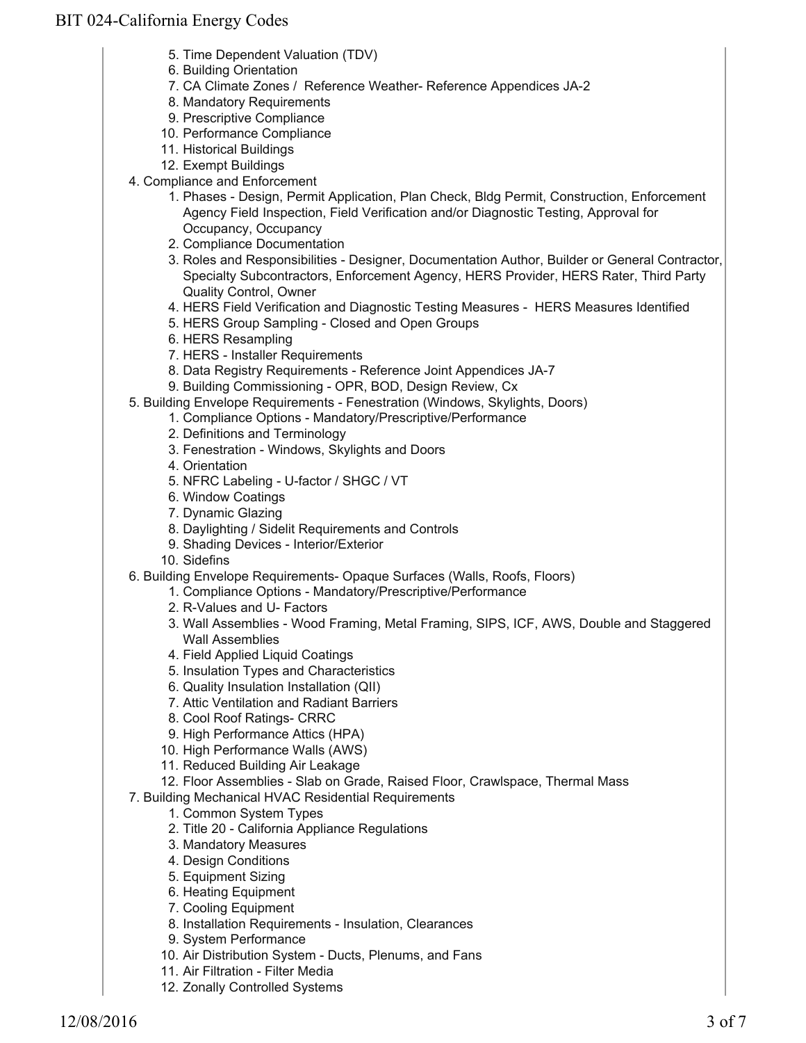- 5. Time Dependent Valuation (TDV)
- 6. Building Orientation
- 7. CA Climate Zones / Reference Weather- Reference Appendices JA-2
- 8. Mandatory Requirements
- 9. Prescriptive Compliance
- 10. Performance Compliance
- 11. Historical Buildings
- 12. Exempt Buildings
- 4. Compliance and Enforcement
	- 1. Phases Design, Permit Application, Plan Check, Bldg Permit, Construction, Enforcement Agency Field Inspection, Field Verification and/or Diagnostic Testing, Approval for Occupancy, Occupancy
	- 2. Compliance Documentation
	- 3. Roles and Responsibilities Designer, Documentation Author, Builder or General Contractor, Specialty Subcontractors, Enforcement Agency, HERS Provider, HERS Rater, Third Party Quality Control, Owner
	- 4. HERS Field Verification and Diagnostic Testing Measures HERS Measures Identified
	- 5. HERS Group Sampling Closed and Open Groups
	- 6. HERS Resampling
	- 7. HERS Installer Requirements
	- 8. Data Registry Requirements Reference Joint Appendices JA-7
	- 9. Building Commissioning OPR, BOD, Design Review, Cx
- 5. Building Envelope Requirements Fenestration (Windows, Skylights, Doors)
	- 1. Compliance Options Mandatory/Prescriptive/Performance
	- 2. Definitions and Terminology
	- 3. Fenestration Windows, Skylights and Doors
	- 4. Orientation
	- 5. NFRC Labeling U-factor / SHGC / VT
	- 6. Window Coatings
	- 7. Dynamic Glazing
	- 8. Daylighting / Sidelit Requirements and Controls
	- 9. Shading Devices Interior/Exterior
	- 10. Sidefins
- 6. Building Envelope Requirements- Opaque Surfaces (Walls, Roofs, Floors)
	- 1. Compliance Options Mandatory/Prescriptive/Performance
	- 2. R-Values and U- Factors
	- 3. Wall Assemblies Wood Framing, Metal Framing, SIPS, ICF, AWS, Double and Staggered Wall Assemblies
	- 4. Field Applied Liquid Coatings
	- 5. Insulation Types and Characteristics
	- 6. Quality Insulation Installation (QII)
	- 7. Attic Ventilation and Radiant Barriers
	- 8. Cool Roof Ratings- CRRC
	- 9. High Performance Attics (HPA)
	- 10. High Performance Walls (AWS)
	- 11. Reduced Building Air Leakage
- 12. Floor Assemblies Slab on Grade, Raised Floor, Crawlspace, Thermal Mass
- 7. Building Mechanical HVAC Residential Requirements
	- 1. Common System Types
	- 2. Title 20 California Appliance Regulations
	- 3. Mandatory Measures
	- 4. Design Conditions
	- 5. Equipment Sizing
	- 6. Heating Equipment
	- 7. Cooling Equipment
	- 8. Installation Requirements Insulation, Clearances
	- 9. System Performance
	- 10. Air Distribution System Ducts, Plenums, and Fans
	- 11. Air Filtration Filter Media
	- 12. Zonally Controlled Systems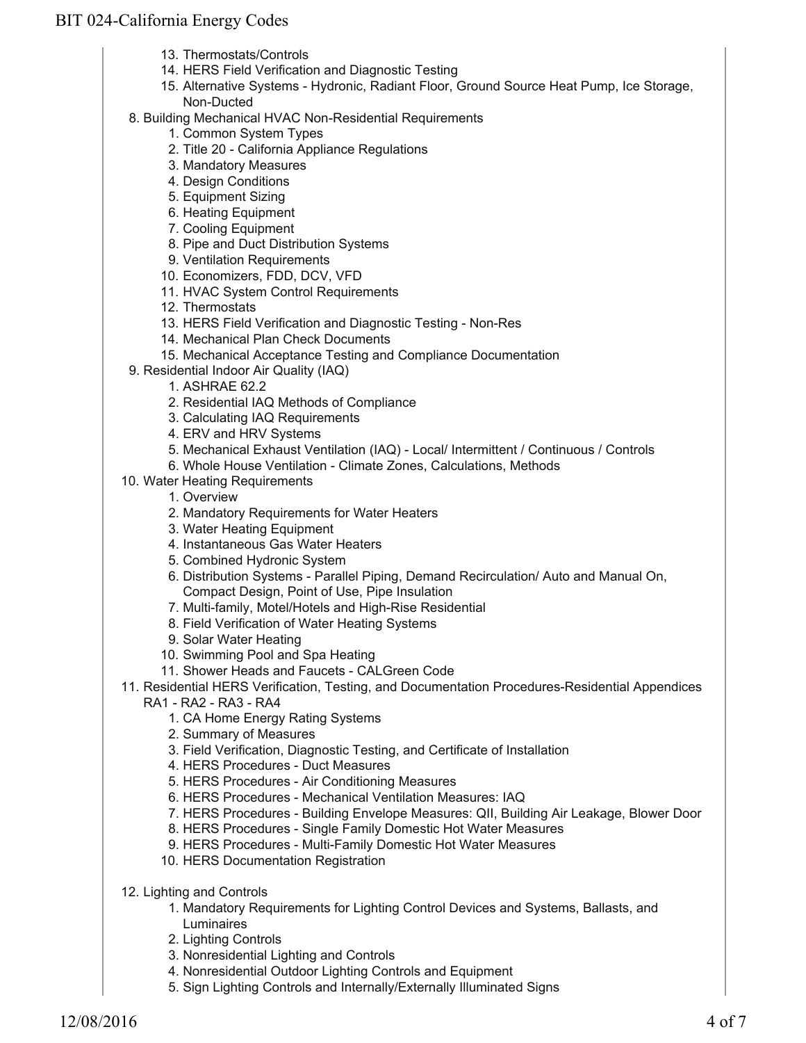- 13. Thermostats/Controls
- 14. HERS Field Verification and Diagnostic Testing
- 15. Alternative Systems Hydronic, Radiant Floor, Ground Source Heat Pump, Ice Storage, Non-Ducted
- 8. Building Mechanical HVAC Non-Residential Requirements
	- 1. Common System Types
	- 2. Title 20 California Appliance Regulations
	- 3. Mandatory Measures
	- 4. Design Conditions
	- 5. Equipment Sizing
	- 6. Heating Equipment
	- 7. Cooling Equipment
	- 8. Pipe and Duct Distribution Systems
	- 9. Ventilation Requirements
	- 10. Economizers, FDD, DCV, VFD
	- 11. HVAC System Control Requirements
	- 12. Thermostats
	- 13. HERS Field Verification and Diagnostic Testing Non-Res
	- 14. Mechanical Plan Check Documents
	- 15. Mechanical Acceptance Testing and Compliance Documentation
- 9. Residential Indoor Air Quality (IAQ)
	- 1. ASHRAE 62.2
	- 2. Residential IAQ Methods of Compliance
	- 3. Calculating IAQ Requirements
	- 4. ERV and HRV Systems
	- 5. Mechanical Exhaust Ventilation (IAQ) Local/ Intermittent / Continuous / Controls
	- 6. Whole House Ventilation Climate Zones, Calculations, Methods
- 10. Water Heating Requirements
	- 1. Overview
	- 2. Mandatory Requirements for Water Heaters
	- 3. Water Heating Equipment
	- 4. Instantaneous Gas Water Heaters
	- 5. Combined Hydronic System
	- 6. Distribution Systems Parallel Piping, Demand Recirculation/ Auto and Manual On, Compact Design, Point of Use, Pipe Insulation
	- 7. Multi-family, Motel/Hotels and High-Rise Residential
	- 8. Field Verification of Water Heating Systems
	- 9. Solar Water Heating
	- 10. Swimming Pool and Spa Heating
	- 11. Shower Heads and Faucets CALGreen Code
- 11. Residential HERS Verification, Testing, and Documentation Procedures-Residential Appendices RA1 - RA2 - RA3 - RA4
	- 1. CA Home Energy Rating Systems
	- 2. Summary of Measures
	- 3. Field Verification, Diagnostic Testing, and Certificate of Installation
	- 4. HERS Procedures Duct Measures
	- 5. HERS Procedures Air Conditioning Measures
	- 6. HERS Procedures Mechanical Ventilation Measures: IAQ
	- 7. HERS Procedures Building Envelope Measures: QII, Building Air Leakage, Blower Door
	- 8. HERS Procedures Single Family Domestic Hot Water Measures
	- 9. HERS Procedures Multi-Family Domestic Hot Water Measures
	- 10. HERS Documentation Registration
- 12. Lighting and Controls
	- 1. Mandatory Requirements for Lighting Control Devices and Systems, Ballasts, and Luminaires
	- 2. Lighting Controls
	- 3. Nonresidential Lighting and Controls
	- 4. Nonresidential Outdoor Lighting Controls and Equipment
	- 5. Sign Lighting Controls and Internally/Externally Illuminated Signs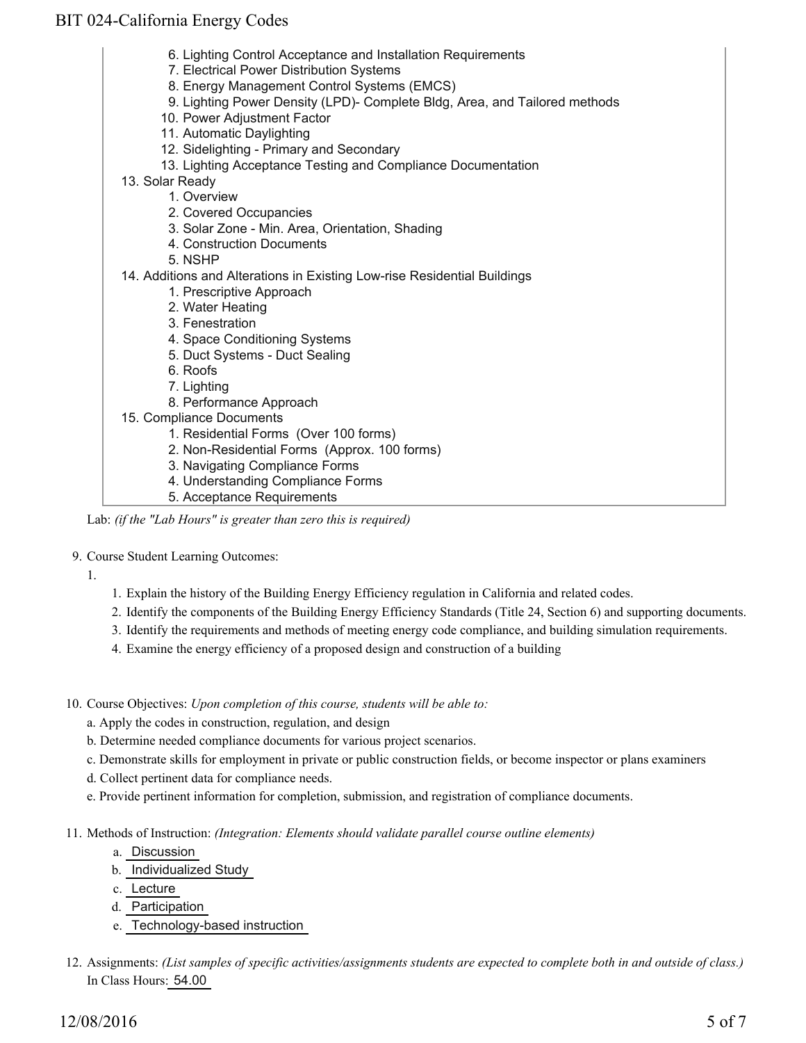- 6. Lighting Control Acceptance and Installation Requirements
- 7. Electrical Power Distribution Systems
- 8. Energy Management Control Systems (EMCS)
- 9. Lighting Power Density (LPD)- Complete Bldg, Area, and Tailored methods
- 10. Power Adjustment Factor
- 11. Automatic Daylighting
- 12. Sidelighting Primary and Secondary
- 13. Lighting Acceptance Testing and Compliance Documentation
- 13. Solar Ready
	- 1. Overview 2. Covered Occupancies
	- 3. Solar Zone Min. Area, Orientation, Shading
	- 4. Construction Documents
	- 5. NSHP
- 14. Additions and Alterations in Existing Low-rise Residential Buildings
	- 1. Prescriptive Approach
	- 2. Water Heating
	- 3. Fenestration
	- 4. Space Conditioning Systems
	- 5. Duct Systems Duct Sealing
	- 6. Roofs
	- 7. Lighting
	- 8. Performance Approach
- 15. Compliance Documents
	- 1. Residential Forms (Over 100 forms)
	- 2. Non-Residential Forms (Approx. 100 forms)
	- 3. Navigating Compliance Forms
	- 4. Understanding Compliance Forms
	- 5. Acceptance Requirements

Lab: *(if the "Lab Hours" is greater than zero this is required)*

9. Course Student Learning Outcomes:

1.

- 1. Explain the history of the Building Energy Efficiency regulation in California and related codes.
- 2. Identify the components of the Building Energy Efficiency Standards (Title 24, Section 6) and supporting documents.
- 3. Identify the requirements and methods of meeting energy code compliance, and building simulation requirements.
- 4. Examine the energy efficiency of a proposed design and construction of a building
- 10. Course Objectives: Upon completion of this course, students will be able to:
	- a. Apply the codes in construction, regulation, and design
	- b. Determine needed compliance documents for various project scenarios.
	- c. Demonstrate skills for employment in private or public construction fields, or become inspector or plans examiners
	- d. Collect pertinent data for compliance needs.
	- e. Provide pertinent information for completion, submission, and registration of compliance documents.
- Methods of Instruction: *(Integration: Elements should validate parallel course outline elements)* 11.
	- a. Discussion
	- b. Individualized Study
	- c. Lecture
	- d. Participation
	- e. Technology-based instruction
- 12. Assignments: (List samples of specific activities/assignments students are expected to complete both in and outside of class.) In Class Hours: 54.00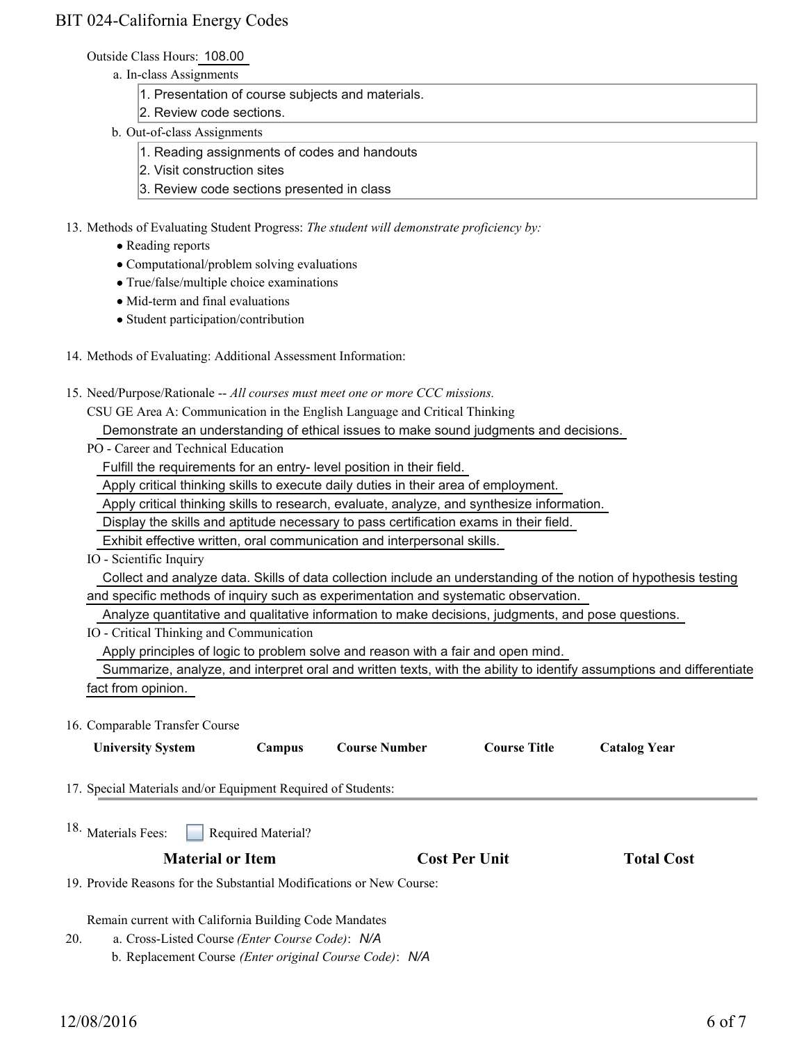#### Outside Class Hours: 108.00

- a. In-class Assignments
	- 1. Presentation of course subjects and materials.
	- 2. Review code sections.
- b. Out-of-class Assignments
	- 1. Reading assignments of codes and handouts
	- 2. Visit construction sites
	- 3. Review code sections presented in class
- 13. Methods of Evaluating Student Progress: The student will demonstrate proficiency by:
	- Reading reports
	- Computational/problem solving evaluations
	- True/false/multiple choice examinations
	- Mid-term and final evaluations
	- Student participation/contribution
- 14. Methods of Evaluating: Additional Assessment Information:
- 15. Need/Purpose/Rationale -- All courses must meet one or more CCC missions.

CSU GE Area A: Communication in the English Language and Critical Thinking

Demonstrate an understanding of ethical issues to make sound judgments and decisions.

PO - Career and Technical Education

Fulfill the requirements for an entry- level position in their field.

Apply critical thinking skills to execute daily duties in their area of employment.

Apply critical thinking skills to research, evaluate, analyze, and synthesize information.

Display the skills and aptitude necessary to pass certification exams in their field.

Exhibit effective written, oral communication and interpersonal skills.

IO - Scientific Inquiry

 Collect and analyze data. Skills of data collection include an understanding of the notion of hypothesis testing and specific methods of inquiry such as experimentation and systematic observation.

Analyze quantitative and qualitative information to make decisions, judgments, and pose questions.

IO - Critical Thinking and Communication

Apply principles of logic to problem solve and reason with a fair and open mind.

 Summarize, analyze, and interpret oral and written texts, with the ability to identify assumptions and differentiate fact from opinion.

#### 16. Comparable Transfer Course

| <b>University System</b>                                                                                        | Campus             | <b>Course Number</b> | <b>Course Title</b>  | <b>Catalog Year</b> |  |
|-----------------------------------------------------------------------------------------------------------------|--------------------|----------------------|----------------------|---------------------|--|
| 17. Special Materials and/or Equipment Required of Students:                                                    |                    |                      |                      |                     |  |
| <sup>18.</sup> Materials Fees:                                                                                  | Required Material? |                      |                      |                     |  |
| <b>Material or Item</b>                                                                                         |                    |                      | <b>Cost Per Unit</b> | <b>Total Cost</b>   |  |
| 19. Provide Reasons for the Substantial Modifications or New Course:                                            |                    |                      |                      |                     |  |
| Remain current with California Building Code Mandates<br>a. Cross-Listed Course (Enter Course Code): N/A<br>20. |                    |                      |                      |                     |  |

- a. Cross-Listed Course *(Enter Course Code)*: *N/A*
	- b. Replacement Course *(Enter original Course Code)*: *N/A*